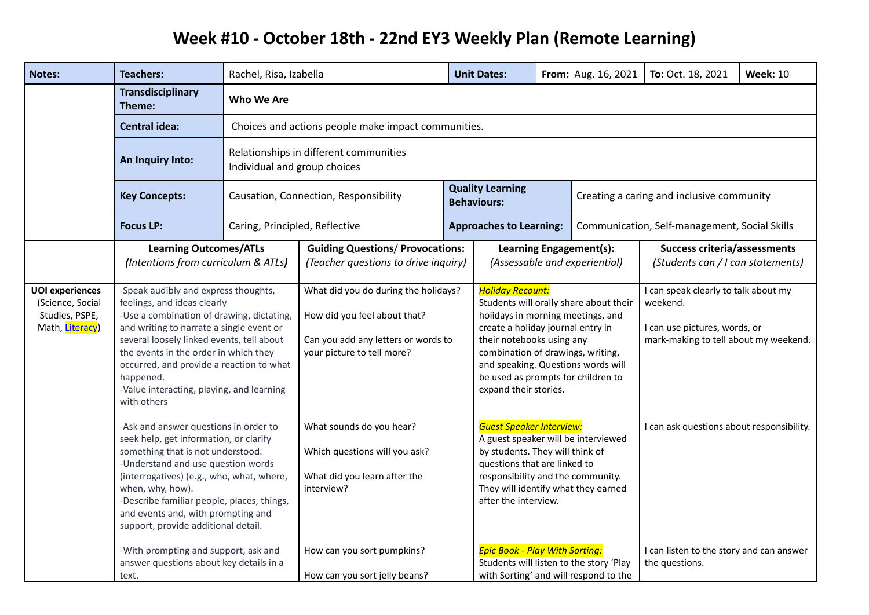## **Week #10 - October 18th - 22nd EY3 Weekly Plan (Remote Learning)**

| <b>Notes:</b>                                                                   | <b>Teachers:</b>                                                                                                                                                                                                                                                                                                                                                                                                                                           | Rachel, Risa, Izabella                                                                                                                             |                                                                                                                                                                       |  | <b>Unit Dates:</b>                                                                                                                                                                                                                                                                                                                                                                           |                                                          | From: Aug. 16, 2021                                                                                                                                                     | To: Oct. 18, 2021                                                        | <b>Week: 10</b> |
|---------------------------------------------------------------------------------|------------------------------------------------------------------------------------------------------------------------------------------------------------------------------------------------------------------------------------------------------------------------------------------------------------------------------------------------------------------------------------------------------------------------------------------------------------|----------------------------------------------------------------------------------------------------------------------------------------------------|-----------------------------------------------------------------------------------------------------------------------------------------------------------------------|--|----------------------------------------------------------------------------------------------------------------------------------------------------------------------------------------------------------------------------------------------------------------------------------------------------------------------------------------------------------------------------------------------|----------------------------------------------------------|-------------------------------------------------------------------------------------------------------------------------------------------------------------------------|--------------------------------------------------------------------------|-----------------|
|                                                                                 | <b>Transdisciplinary</b><br>Theme:                                                                                                                                                                                                                                                                                                                                                                                                                         | <b>Who We Are</b><br>Choices and actions people make impact communities.<br>Relationships in different communities<br>Individual and group choices |                                                                                                                                                                       |  |                                                                                                                                                                                                                                                                                                                                                                                              |                                                          |                                                                                                                                                                         |                                                                          |                 |
|                                                                                 | <b>Central idea:</b>                                                                                                                                                                                                                                                                                                                                                                                                                                       |                                                                                                                                                    |                                                                                                                                                                       |  |                                                                                                                                                                                                                                                                                                                                                                                              |                                                          |                                                                                                                                                                         |                                                                          |                 |
|                                                                                 | An Inquiry Into:                                                                                                                                                                                                                                                                                                                                                                                                                                           |                                                                                                                                                    |                                                                                                                                                                       |  |                                                                                                                                                                                                                                                                                                                                                                                              |                                                          |                                                                                                                                                                         |                                                                          |                 |
|                                                                                 | <b>Key Concepts:</b>                                                                                                                                                                                                                                                                                                                                                                                                                                       |                                                                                                                                                    | Causation, Connection, Responsibility                                                                                                                                 |  | <b>Quality Learning</b><br><b>Behaviours:</b>                                                                                                                                                                                                                                                                                                                                                |                                                          | Creating a caring and inclusive community                                                                                                                               |                                                                          |                 |
|                                                                                 | <b>Focus LP:</b>                                                                                                                                                                                                                                                                                                                                                                                                                                           | Caring, Principled, Reflective                                                                                                                     |                                                                                                                                                                       |  | <b>Approaches to Learning:</b>                                                                                                                                                                                                                                                                                                                                                               |                                                          | Communication, Self-management, Social Skills                                                                                                                           |                                                                          |                 |
|                                                                                 | <b>Learning Outcomes/ATLs</b><br>(Intentions from curriculum & ATLs)                                                                                                                                                                                                                                                                                                                                                                                       |                                                                                                                                                    | <b>Guiding Questions/ Provocations:</b><br>(Teacher questions to drive inquiry)                                                                                       |  |                                                                                                                                                                                                                                                                                                                                                                                              | Learning Engagement(s):<br>(Assessable and experiential) |                                                                                                                                                                         | <b>Success criteria/assessments</b><br>(Students can / I can statements) |                 |
| <b>UOI</b> experiences<br>(Science, Social<br>Studies, PSPE,<br>Math, Literacy) | -Speak audibly and express thoughts,<br>feelings, and ideas clearly<br>-Use a combination of drawing, dictating,<br>and writing to narrate a single event or<br>several loosely linked events, tell about<br>the events in the order in which they<br>occurred, and provide a reaction to what<br>happened.<br>-Value interacting, playing, and learning<br>with others<br>-Ask and answer questions in order to<br>seek help, get information, or clarify |                                                                                                                                                    | What did you do during the holidays?<br>How did you feel about that?<br>Can you add any letters or words to<br>your picture to tell more?<br>What sounds do you hear? |  | <b>Holiday Recount:</b><br>Students will orally share about their<br>holidays in morning meetings, and<br>create a holiday journal entry in<br>their notebooks using any<br>combination of drawings, writing,<br>and speaking. Questions words will<br>be used as prompts for children to<br>expand their stories.<br><b>Guest Speaker Interview:</b><br>A guest speaker will be interviewed |                                                          | I can speak clearly to talk about my<br>weekend.<br>I can use pictures, words, or<br>mark-making to tell about my weekend.<br>I can ask questions about responsibility. |                                                                          |                 |
|                                                                                 | something that is not understood.<br>-Understand and use question words<br>(interrogatives) (e.g., who, what, where,<br>when, why, how).<br>-Describe familiar people, places, things,<br>and events and, with prompting and<br>support, provide additional detail.<br>-With prompting and support, ask and<br>answer questions about key details in a                                                                                                     |                                                                                                                                                    | Which questions will you ask?<br>What did you learn after the<br>interview?<br>How can you sort pumpkins?                                                             |  | by students. They will think of<br>questions that are linked to<br>responsibility and the community.<br>They will identify what they earned<br>after the interview.<br><b>Epic Book - Play With Sorting:</b><br>Students will listen to the story 'Play                                                                                                                                      |                                                          | with Sorting' and will respond to the                                                                                                                                   | I can listen to the story and can answer<br>the questions.               |                 |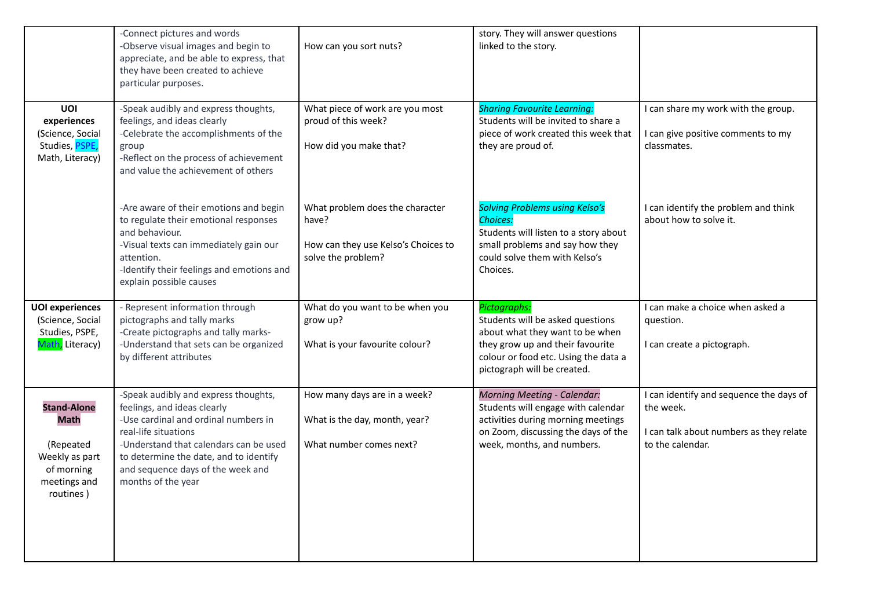|                                                                                                             | -Connect pictures and words<br>-Observe visual images and begin to<br>appreciate, and be able to express, that<br>they have been created to achieve<br>particular purposes.                                                                                                        | How can you sort nuts?                                                                                | story. They will answer questions<br>linked to the story.                                                                                                                                      |                                                                                                                     |
|-------------------------------------------------------------------------------------------------------------|------------------------------------------------------------------------------------------------------------------------------------------------------------------------------------------------------------------------------------------------------------------------------------|-------------------------------------------------------------------------------------------------------|------------------------------------------------------------------------------------------------------------------------------------------------------------------------------------------------|---------------------------------------------------------------------------------------------------------------------|
| UOI<br>experiences<br>(Science, Social<br>Studies, PSPE,<br>Math, Literacy)                                 | -Speak audibly and express thoughts,<br>feelings, and ideas clearly<br>-Celebrate the accomplishments of the<br>group<br>-Reflect on the process of achievement<br>and value the achievement of others                                                                             | What piece of work are you most<br>proud of this week?<br>How did you make that?                      | <b>Sharing Favourite Learning:</b><br>Students will be invited to share a<br>piece of work created this week that<br>they are proud of.                                                        | I can share my work with the group.<br>I can give positive comments to my<br>classmates.                            |
|                                                                                                             | -Are aware of their emotions and begin<br>to regulate their emotional responses<br>and behaviour.<br>-Visual texts can immediately gain our<br>attention.<br>-Identify their feelings and emotions and<br>explain possible causes                                                  | What problem does the character<br>have?<br>How can they use Kelso's Choices to<br>solve the problem? | <b>Solving Problems using Kelso's</b><br><b>Choices:</b><br>Students will listen to a story about<br>small problems and say how they<br>could solve them with Kelso's<br>Choices.              | I can identify the problem and think<br>about how to solve it.                                                      |
| <b>UOI</b> experiences<br>(Science, Social<br>Studies, PSPE,<br>Math, Literacy)                             | - Represent information through<br>pictographs and tally marks<br>-Create pictographs and tally marks-<br>-Understand that sets can be organized<br>by different attributes                                                                                                        | What do you want to be when you<br>grow up?<br>What is your favourite colour?                         | Pictographs:<br>Students will be asked questions<br>about what they want to be when<br>they grow up and their favourite<br>colour or food etc. Using the data a<br>pictograph will be created. | I can make a choice when asked a<br>question.<br>I can create a pictograph.                                         |
| <b>Stand-Alone</b><br><b>Math</b><br>(Repeated<br>Weekly as part<br>of morning<br>meetings and<br>routines) | -Speak audibly and express thoughts,<br>feelings, and ideas clearly<br>-Use cardinal and ordinal numbers in<br>real-life situations<br>-Understand that calendars can be used<br>to determine the date, and to identify<br>and sequence days of the week and<br>months of the year | How many days are in a week?<br>What is the day, month, year?<br>What number comes next?              | <b>Morning Meeting - Calendar:</b><br>Students will engage with calendar<br>activities during morning meetings<br>on Zoom, discussing the days of the<br>week, months, and numbers.            | I can identify and sequence the days of<br>the week.<br>I can talk about numbers as they relate<br>to the calendar. |